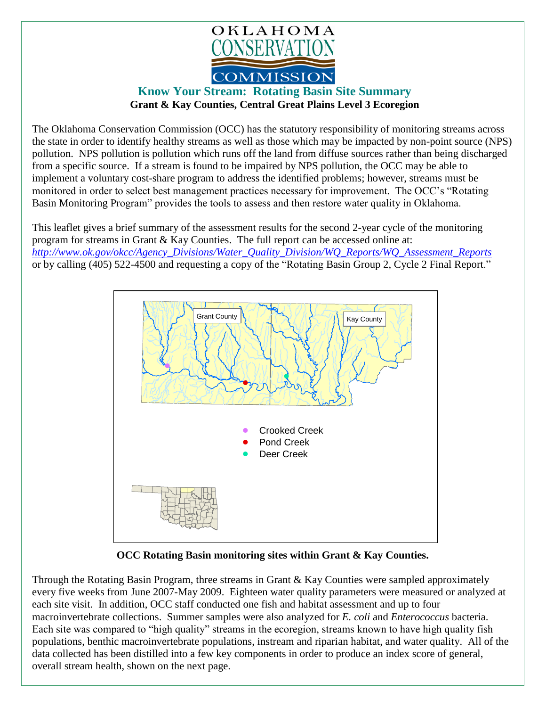

## **Know Your Stream: Rotating Basin Site Summary Grant & Kay Counties, Central Great Plains Level 3 Ecoregion**

The Oklahoma Conservation Commission (OCC) has the statutory responsibility of monitoring streams across the state in order to identify healthy streams as well as those which may be impacted by non-point source (NPS) pollution. NPS pollution is pollution which runs off the land from diffuse sources rather than being discharged from a specific source. If a stream is found to be impaired by NPS pollution, the OCC may be able to implement a voluntary cost-share program to address the identified problems; however, streams must be monitored in order to select best management practices necessary for improvement. The OCC's "Rotating Basin Monitoring Program" provides the tools to assess and then restore water quality in Oklahoma.

This leaflet gives a brief summary of the assessment results for the second 2-year cycle of the monitoring program for streams in Grant & Kay Counties. The full report can be accessed online at: *[http://www.ok.gov/okcc/Agency\\_Divisions/Water\\_Quality\\_Division/WQ\\_Reports/WQ\\_Assessment\\_Reports](http://www.ok.gov/okcc/Agency_Divisions/Water_Quality_Division/WQ_Reports/WQ_Assessment_Reports)* or by calling (405) 522-4500 and requesting a copy of the "Rotating Basin Group 2, Cycle 2 Final Report."



**OCC Rotating Basin monitoring sites within Grant & Kay Counties.**

Through the Rotating Basin Program, three streams in Grant & Kay Counties were sampled approximately every five weeks from June 2007-May 2009. Eighteen water quality parameters were measured or analyzed at each site visit. In addition, OCC staff conducted one fish and habitat assessment and up to four macroinvertebrate collections. Summer samples were also analyzed for *E. coli* and *Enterococcus* bacteria. Each site was compared to "high quality" streams in the ecoregion, streams known to have high quality fish populations, benthic macroinvertebrate populations, instream and riparian habitat, and water quality. All of the data collected has been distilled into a few key components in order to produce an index score of general, overall stream health, shown on the next page.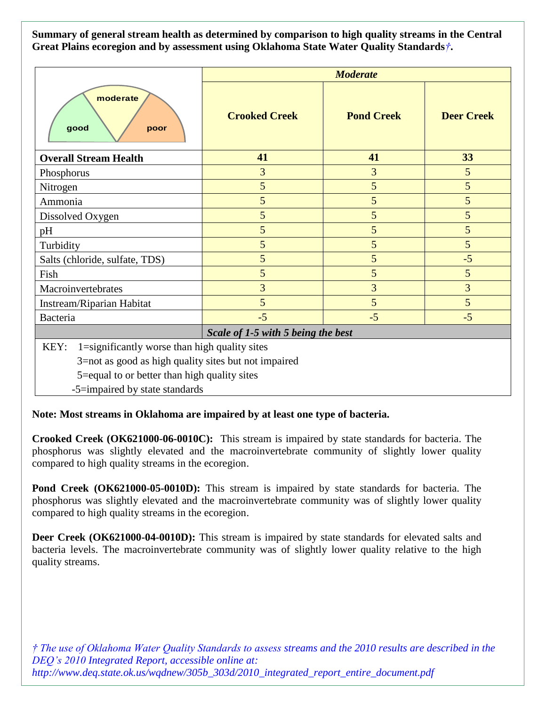**Summary of general stream health as determined by comparison to high quality streams in the Central Great Plains ecoregion and by assessment using Oklahoma State Water Quality Standards***†***.**

|                                                       | <b>Moderate</b>      |                   |                   |
|-------------------------------------------------------|----------------------|-------------------|-------------------|
| moderate<br>good<br>poor                              | <b>Crooked Creek</b> | <b>Pond Creek</b> | <b>Deer Creek</b> |
| <b>Overall Stream Health</b>                          | 41                   | 41                | 33                |
| Phosphorus                                            | 3                    | 3                 | 5                 |
| Nitrogen                                              | 5                    | 5                 | 5                 |
| Ammonia                                               | 5                    | 5                 | 5                 |
| Dissolved Oxygen                                      | 5                    | 5                 | 5                 |
| pH                                                    | 5                    | 5                 | 5                 |
| Turbidity                                             | 5                    | 5                 | 5                 |
| Salts (chloride, sulfate, TDS)                        | 5                    | 5                 | $-5$              |
| Fish                                                  | 5                    | 5                 | 5                 |
| Macroinvertebrates                                    | 3                    | $\overline{3}$    | $\overline{3}$    |
| Instream/Riparian Habitat                             | 5                    | 5                 | 5                 |
| Bacteria                                              | $-5$                 | $-5$              | $-5$              |
| Scale of 1-5 with 5 being the best                    |                      |                   |                   |
| 1=significantly worse than high quality sites<br>KEY: |                      |                   |                   |
| 3=not as good as high quality sites but not impaired  |                      |                   |                   |
| 5=equal to or better than high quality sites          |                      |                   |                   |
| -5=impaired by state standards                        |                      |                   |                   |

**Note: Most streams in Oklahoma are impaired by at least one type of bacteria.**

**Crooked Creek (OK621000-06-0010C):** This stream is impaired by state standards for bacteria. The phosphorus was slightly elevated and the macroinvertebrate community of slightly lower quality compared to high quality streams in the ecoregion.

Pond Creek (OK621000-05-0010D): This stream is impaired by state standards for bacteria. The phosphorus was slightly elevated and the macroinvertebrate community was of slightly lower quality compared to high quality streams in the ecoregion.

**Deer Creek (OK621000-04-0010D):** This stream is impaired by state standards for elevated salts and bacteria levels. The macroinvertebrate community was of slightly lower quality relative to the high quality streams.

*† The use of Oklahoma Water Quality Standards to assess streams and the 2010 results are described in the DEQ's 2010 Integrated Report, accessible online at: http://www.deq.state.ok.us/wqdnew/305b\_303d/2010\_integrated\_report\_entire\_document.pdf*